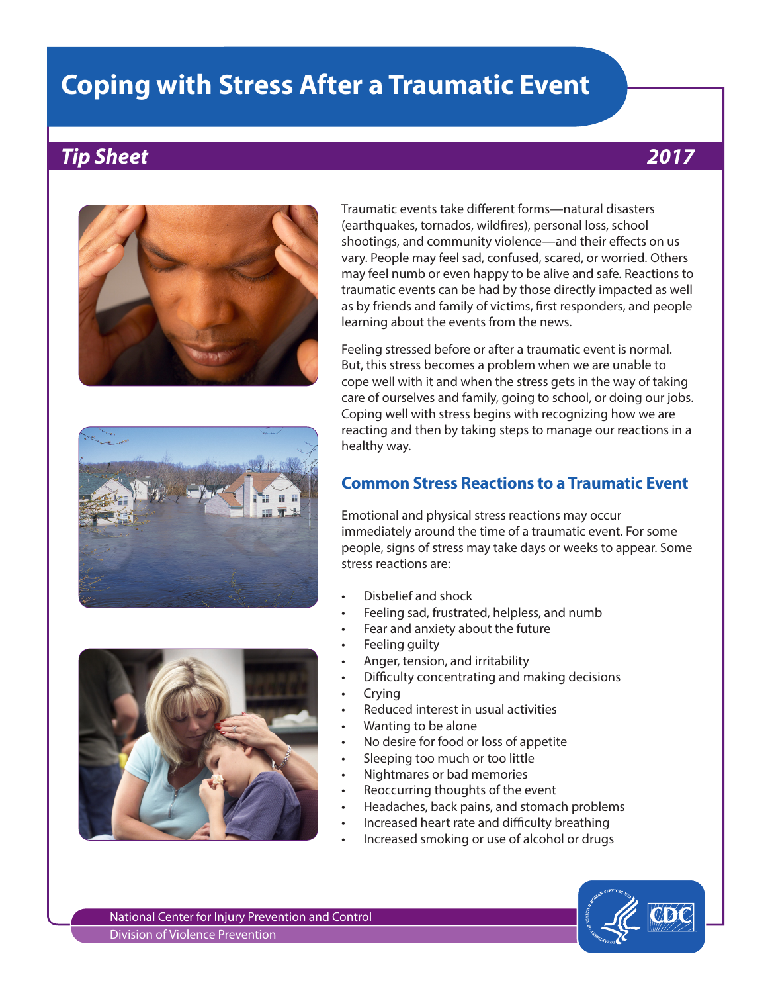# **Coping with Stress After a Traumatic Event**

## *Tip Sheet 2017*







Traumatic events take different forms—natural disasters (earthquakes, tornados, wildfires), personal loss, school shootings, and community violence—and their effects on us vary. People may feel sad, confused, scared, or worried. Others may feel numb or even happy to be alive and safe. Reactions to traumatic events can be had by those directly impacted as well as by friends and family of victims, first responders, and people learning about the events from the news.

Feeling stressed before or after a traumatic event is normal. But, this stress becomes a problem when we are unable to cope well with it and when the stress gets in the way of taking care of ourselves and family, going to school, or doing our jobs. Coping well with stress begins with recognizing how we are reacting and then by taking steps to manage our reactions in a healthy way.

## **Common Stress Reactions to a Traumatic Event**

Emotional and physical stress reactions may occur immediately around the time of a traumatic event. For some people, signs of stress may take days or weeks to appear. Some stress reactions are:

- Disbelief and shock
- Feeling sad, frustrated, helpless, and numb
- Fear and anxiety about the future
- Feeling quilty
- Anger, tension, and irritability
- Difficulty concentrating and making decisions
- Crying
- Reduced interest in usual activities
- Wanting to be alone
- No desire for food or loss of appetite
- Sleeping too much or too little
- Nightmares or bad memories
- Reoccurring thoughts of the event
- Headaches, back pains, and stomach problems
- Increased heart rate and difficulty breathing
- Increased smoking or use of alcohol or drugs

National Center for Injury Prevention and Control Division of Violence Prevention